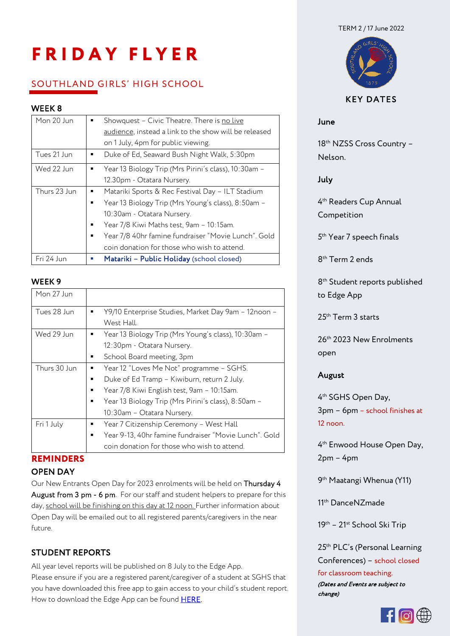#### TERM 2 / 17 June 2022

# **FRIDAY FLYER**

# SOUTHLAND GIRLS' HIGH SCHOOL

# WEEK 8

| Mon 20 Jun   | Showquest - Civic Theatre. There is no live           |
|--------------|-------------------------------------------------------|
|              | audience, instead a link to the show will be released |
|              | on 1 July, 4pm for public viewing.                    |
| Tues 21 Jun  | Duke of Ed, Seaward Bush Night Walk, 5:30pm           |
| Wed 22 Jun   | Year 13 Biology Trip (Mrs Pirini's class), 10:30am -  |
|              | 12.30pm - Otatara Nursery.                            |
| Thurs 23 Jun | Matariki Sports & Rec Festival Day - ILT Stadium      |
|              | Year 13 Biology Trip (Mrs Young's class), 8:50am -    |
|              | 10:30am - Otatara Nursery.                            |
|              | Year 7/8 Kiwi Maths test, 9am - 10:15am.              |
|              | Year 7/8 40hr famine fundraiser "Movie Lunch". Gold   |
|              | coin donation for those who wish to attend.           |
| Fri 24 Jun   | Matariki - Public Holiday (school closed)<br>×.       |

### **WEEK 9**

| Mon 27 Jun   |                                                       |
|--------------|-------------------------------------------------------|
| Tues 28 Jun  | Y9/10 Enterprise Studies, Market Day 9am - 12noon -   |
|              | West Hall.                                            |
| Wed 29 Jun   | Year 13 Biology Trip (Mrs Young's class), 10:30am -   |
|              | 12:30pm - Otatara Nursery.                            |
|              | School Board meeting, 3pm<br>٠                        |
| Thurs 30 Jun | Year 12 "Loves Me Not" programme - SGHS.              |
|              | Duke of Ed Tramp - Kiwiburn, return 2 July.           |
|              | Year 7/8 Kiwi English test, 9am - 10:15am.            |
|              | Year 13 Biology Trip (Mrs Pirini's class), 8:50am -   |
|              | 10:30am - Otatara Nursery.                            |
| Fri 1 July   | Year 7 Citizenship Ceremony - West Hall<br>٠          |
|              | Year 9-13, 40hr famine fundraiser "Movie Lunch". Gold |
|              | coin donation for those who wish to attend.           |

# **REMINDERS**

### OPEN DAY

Our New Entrants Open Day for 2023 enrolments will be held on Thursday 4 August from 3 pm - 6 pm. For our staff and student helpers to prepare for this day, school will be finishing on this day at 12 noon. Further information about Open Day will be emailed out to all registered parents/caregivers in the near future.

# STUDENT REPORTS

All year level reports will be published on 8 July to the Edge App. Please ensure if you are a registered parent/caregiver of a student at SGHS that you have downloaded this free app to gain access to your child's student report. How to download the Edge App can be found **HERE**.



# KEY DATES

## June

18<sup>th</sup> NZSS Cross Country -Nelson.

July

4 th Readers Cup Annual Competition

5 th Year 7 speech finals

8 th Term 2 ends

8 th Student reports published to Edge App

25th Term 3 starts

26th 2023 New Enrolments open

## August

4 th SGHS Open Day, 3pm – 6pm – school finishes at 12 noon.

4 th Enwood House Open Day, 2pm – 4pm

9 th Maatangi Whenua (Y11)

11th DanceNZmade

19<sup>th</sup> – 21<sup>st</sup> School Ski Trip

25<sup>th</sup> PLC's (Personal Learning Conferences) – school closed

for classroom teaching. (Dates and Events are subject to change)